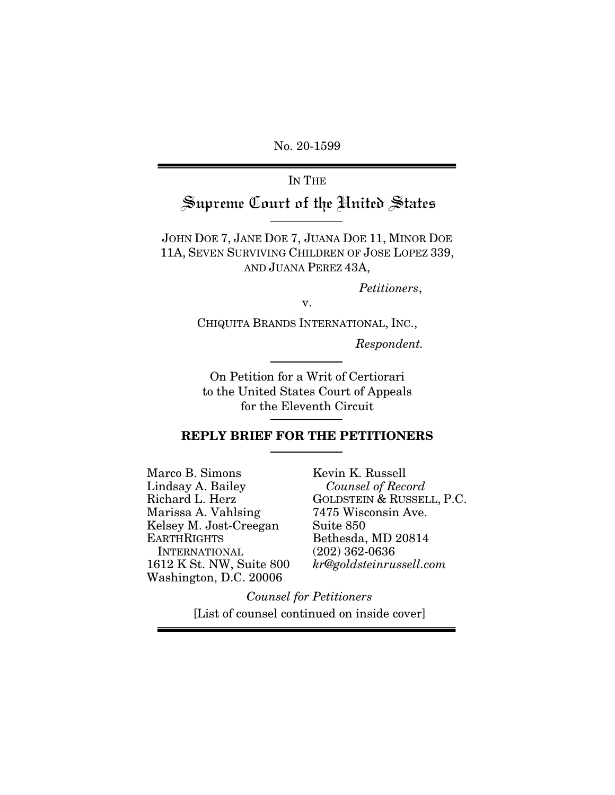No. 20-1599

IN THE

Supreme Court of the United States

JOHN DOE 7, JANE DOE 7, JUANA DOE 11, MINOR DOE 11A, SEVEN SURVIVING CHILDREN OF JOSE LOPEZ 339, AND JUANA PEREZ 43A,

*Petitioners*,

v.

CHIQUITA BRANDS INTERNATIONAL, INC.,

*Respondent.* 

On Petition for a Writ of Certiorari to the United States Court of Appeals for the Eleventh Circuit

### REPLY BRIEF FOR THE PETITIONERS

Marco B. Simons Lindsay A. Bailey Richard L. Herz Marissa A. Vahlsing Kelsey M. Jost-Creegan **EARTHRIGHTS**  INTERNATIONAL 1612 K St. NW, Suite 800 Washington, D.C. 20006

Kevin K. Russell  *Counsel of Record* GOLDSTEIN & RUSSELL, P.C. 7475 Wisconsin Ave. Suite 850 Bethesda, MD 20814 (202) 362-0636 *kr@goldsteinrussell.com*

*Counsel for Petitioners* [List of counsel continued on inside cover]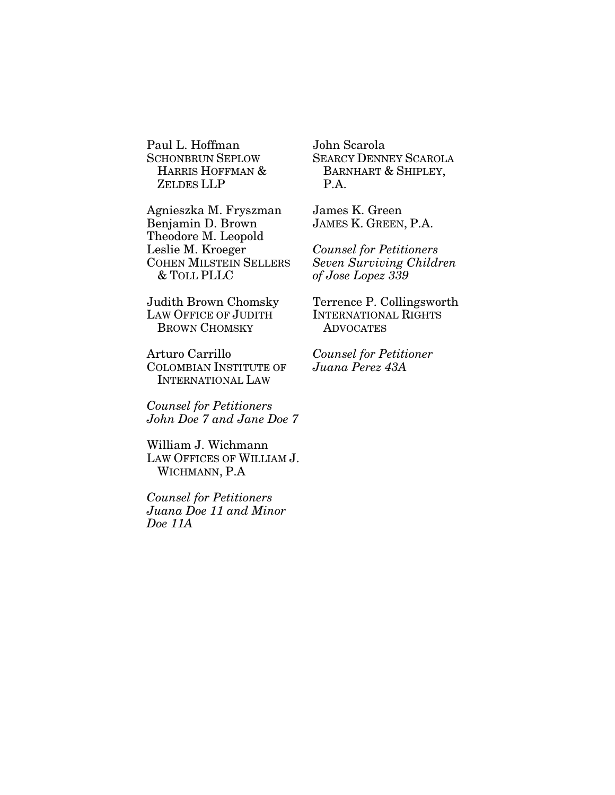Paul L. Hoffman SCHONBRUN SEPLOW HARRIS HOFFMAN & ZELDES LLP

Agnieszka M. Fryszman Benjamin D. Brown Theodore M. Leopold Leslie M. Kroeger COHEN MILSTEIN SELLERS & TOLL PLLC

Judith Brown Chomsky LAW OFFICE OF JUDITH BROWN CHOMSKY

Arturo Carrillo COLOMBIAN INSTITUTE OF INTERNATIONAL LAW

*Counsel for Petitioners John Doe 7 and Jane Doe 7* 

William J. Wichmann LAW OFFICES OF WILLIAM J. WICHMANN, P.A

*Counsel for Petitioners Juana Doe 11 and Minor Doe 11A* 

John Scarola SEARCY DENNEY SCAROLA BARNHART & SHIPLEY, P.A.

James K. Green JAMES K. GREEN, P.A.

*Counsel for Petitioners Seven Surviving Children of Jose Lopez 339* 

Terrence P. Collingsworth INTERNATIONAL RIGHTS ADVOCATES

*Counsel for Petitioner Juana Perez 43A*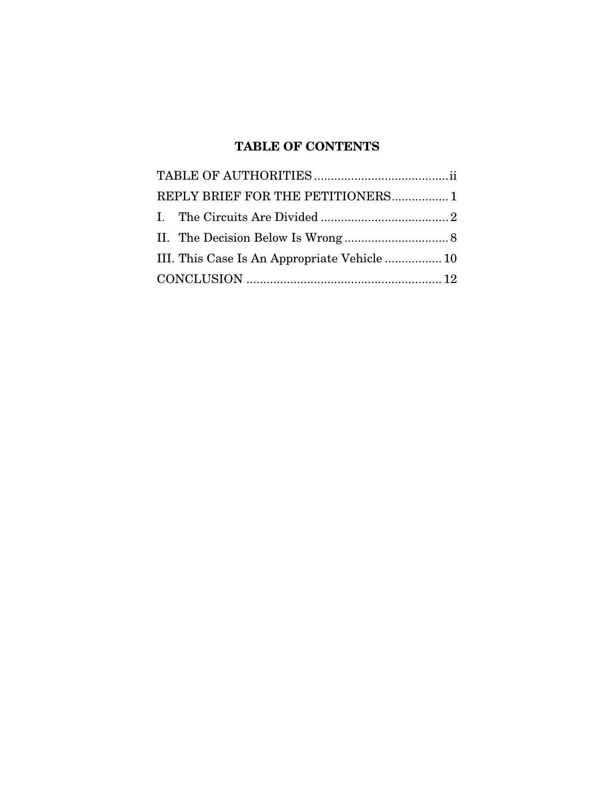# TABLE OF CONTENTS

| REPLY BRIEF FOR THE PETITIONERS 1 |  |  |  |  |
|-----------------------------------|--|--|--|--|
|                                   |  |  |  |  |
|                                   |  |  |  |  |
|                                   |  |  |  |  |
|                                   |  |  |  |  |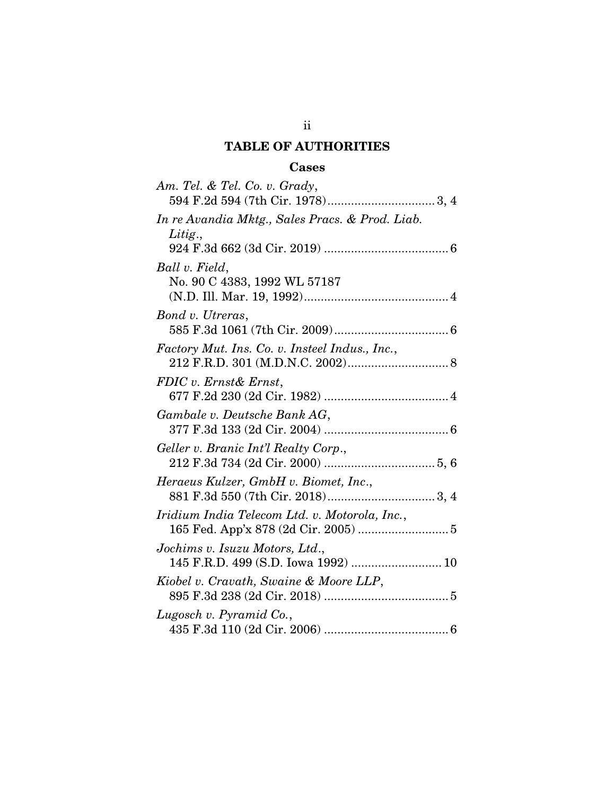# TABLE OF AUTHORITIES

### Cases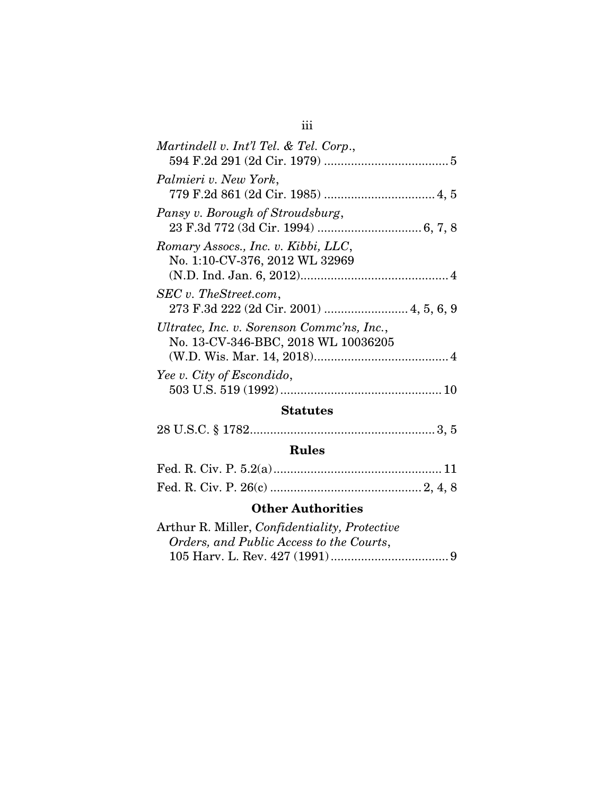| Martindell v. Int'l Tel. & Tel. Corp.,                                            |
|-----------------------------------------------------------------------------------|
| Palmieri v. New York,                                                             |
| Pansy v. Borough of Stroudsburg,                                                  |
| Romary Assocs., Inc. v. Kibbi, LLC,<br>No. 1:10-CV-376, 2012 WL 32969             |
| SEC v. TheStreet.com,<br>273 F.3d 222 (2d Cir. 2001)  4, 5, 6, 9                  |
| Ultratec, Inc. v. Sorenson Comme'ns, Inc.,<br>No. 13-CV-346-BBC, 2018 WL 10036205 |
| Yee v. City of Escondido,                                                         |
| $\mathbf{C}$                                                                      |

#### Statutes

|--|--|--|--|--|--|--|

# Rules

## Other Authorities

| Arthur R. Miller, <i>Confidentiality</i> , <i>Protective</i> |  |
|--------------------------------------------------------------|--|
| Orders, and Public Access to the Courts,                     |  |
|                                                              |  |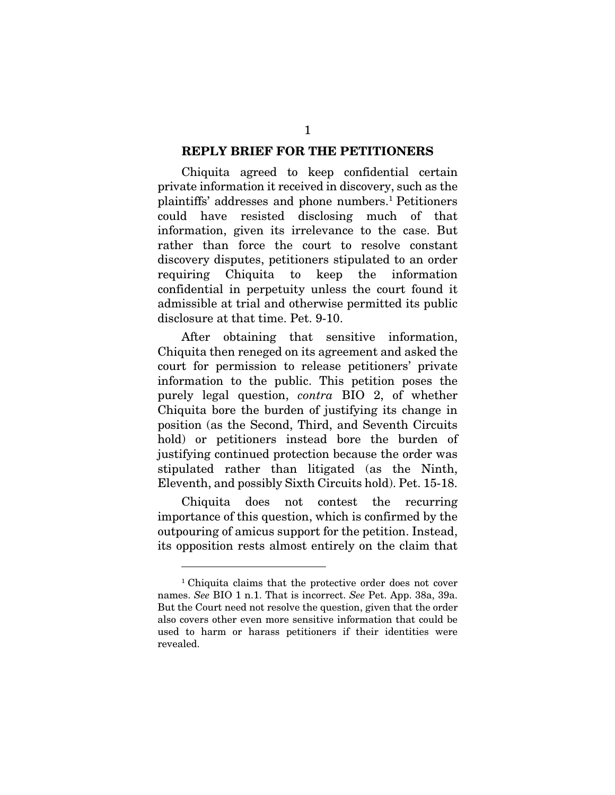### REPLY BRIEF FOR THE PETITIONERS

Chiquita agreed to keep confidential certain private information it received in discovery, such as the plaintiffs' addresses and phone numbers.1 Petitioners could have resisted disclosing much of that information, given its irrelevance to the case. But rather than force the court to resolve constant discovery disputes, petitioners stipulated to an order requiring Chiquita to keep the information confidential in perpetuity unless the court found it admissible at trial and otherwise permitted its public disclosure at that time. Pet. 9-10.

After obtaining that sensitive information, Chiquita then reneged on its agreement and asked the court for permission to release petitioners' private information to the public. This petition poses the purely legal question, *contra* BIO 2, of whether Chiquita bore the burden of justifying its change in position (as the Second, Third, and Seventh Circuits hold) or petitioners instead bore the burden of justifying continued protection because the order was stipulated rather than litigated (as the Ninth, Eleventh, and possibly Sixth Circuits hold). Pet. 15-18.

Chiquita does not contest the recurring importance of this question, which is confirmed by the outpouring of amicus support for the petition. Instead, its opposition rests almost entirely on the claim that

<sup>1</sup> Chiquita claims that the protective order does not cover names. *See* BIO 1 n.1. That is incorrect. *See* Pet. App. 38a, 39a. But the Court need not resolve the question, given that the order also covers other even more sensitive information that could be used to harm or harass petitioners if their identities were revealed.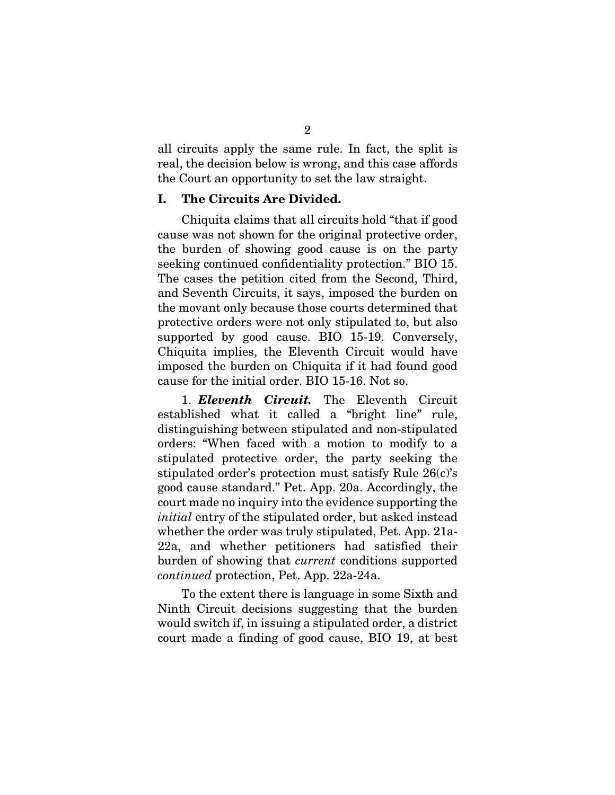all circuits apply the same rule. In fact, the split is real, the decision below is wrong, and this case affords the Court an opportunity to set the law straight.

### I. The Circuits Are Divided.

Chiquita claims that all circuits hold "that if good cause was not shown for the original protective order, the burden of showing good cause is on the party seeking continued confidentiality protection." BIO 15. The cases the petition cited from the Second, Third, and Seventh Circuits, it says, imposed the burden on the movant only because those courts determined that protective orders were not only stipulated to, but also supported by good cause. BIO 15-19. Conversely, Chiquita implies, the Eleventh Circuit would have imposed the burden on Chiquita if it had found good cause for the initial order. BIO 15-16. Not so.

1. *Eleventh Circuit.* The Eleventh Circuit established what it called a "bright line" rule, distinguishing between stipulated and non-stipulated orders: "When faced with a motion to modify to a stipulated protective order, the party seeking the stipulated order's protection must satisfy Rule 26(c)'s good cause standard." Pet. App. 20a. Accordingly, the court made no inquiry into the evidence supporting the *initial* entry of the stipulated order, but asked instead whether the order was truly stipulated, Pet. App. 21a-22a, and whether petitioners had satisfied their burden of showing that *current* conditions supported *continued* protection, Pet. App. 22a-24a.

To the extent there is language in some Sixth and Ninth Circuit decisions suggesting that the burden would switch if, in issuing a stipulated order, a district court made a finding of good cause, BIO 19, at best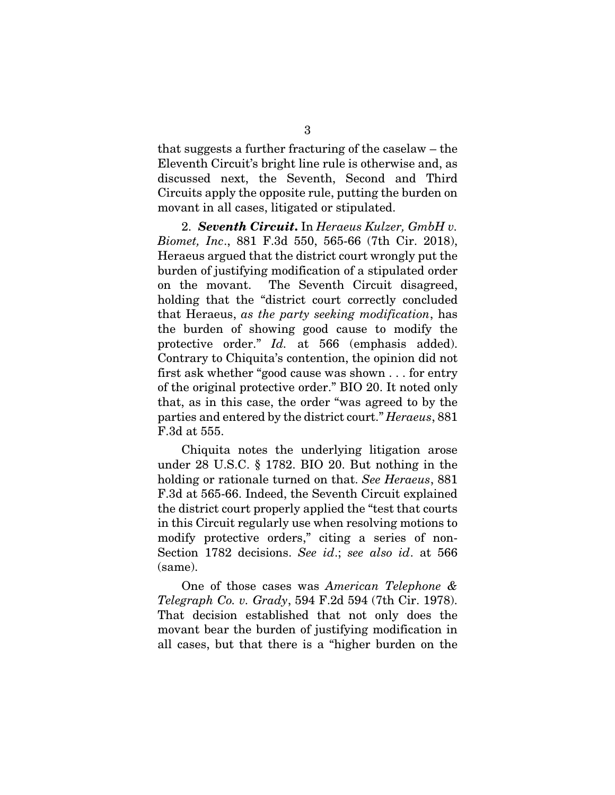that suggests a further fracturing of the caselaw – the Eleventh Circuit's bright line rule is otherwise and, as discussed next, the Seventh, Second and Third Circuits apply the opposite rule, putting the burden on movant in all cases, litigated or stipulated.

2. *Seventh Circuit*. In *Heraeus Kulzer, GmbH v. Biomet, Inc*., 881 F.3d 550, 565-66 (7th Cir. 2018), Heraeus argued that the district court wrongly put the burden of justifying modification of a stipulated order on the movant. The Seventh Circuit disagreed, holding that the "district court correctly concluded that Heraeus, *as the party seeking modification*, has the burden of showing good cause to modify the protective order." *Id.* at 566 (emphasis added). Contrary to Chiquita's contention, the opinion did not first ask whether "good cause was shown . . . for entry of the original protective order." BIO 20. It noted only that, as in this case, the order "was agreed to by the parties and entered by the district court." *Heraeus*, 881 F.3d at 555.

Chiquita notes the underlying litigation arose under 28 U.S.C. § 1782. BIO 20. But nothing in the holding or rationale turned on that. *See Heraeus*, 881 F.3d at 565-66. Indeed, the Seventh Circuit explained the district court properly applied the "test that courts in this Circuit regularly use when resolving motions to modify protective orders," citing a series of non-Section 1782 decisions. *See id*.; *see also id*. at 566 (same).

One of those cases was *American Telephone & Telegraph Co. v. Grady*, 594 F.2d 594 (7th Cir. 1978). That decision established that not only does the movant bear the burden of justifying modification in all cases, but that there is a "higher burden on the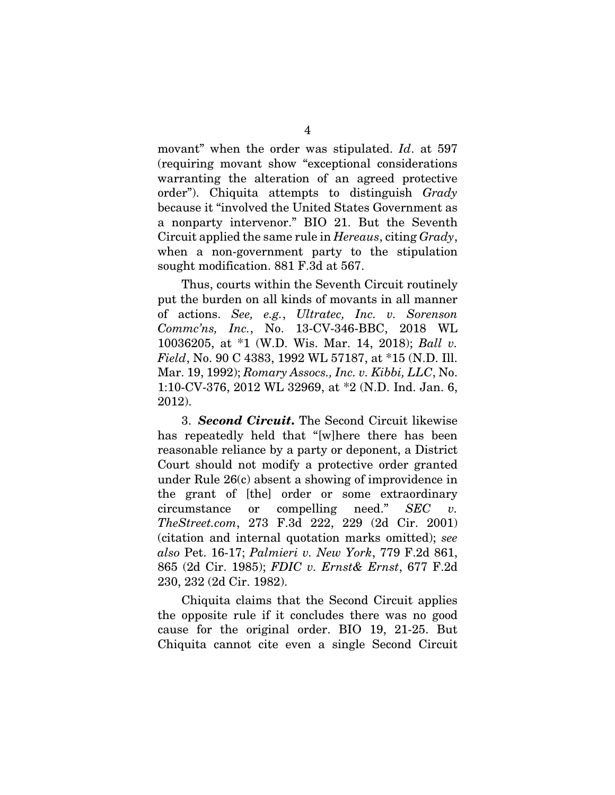movant" when the order was stipulated. *Id*. at 597 (requiring movant show "exceptional considerations warranting the alteration of an agreed protective order"). Chiquita attempts to distinguish *Grady* because it "involved the United States Government as a nonparty intervenor." BIO 21. But the Seventh Circuit applied the same rule in *Hereaus*, citing *Grady*, when a non-government party to the stipulation sought modification. 881 F.3d at 567.

Thus, courts within the Seventh Circuit routinely put the burden on all kinds of movants in all manner of actions. *See, e.g.*, *Ultratec, Inc. v. Sorenson Commc'ns, Inc.*, No. 13-CV-346-BBC, 2018 WL 10036205, at \*1 (W.D. Wis. Mar. 14, 2018); *Ball v. Field*, No. 90 C 4383, 1992 WL 57187, at \*15 (N.D. Ill. Mar. 19, 1992); *Romary Assocs., Inc. v. Kibbi, LLC*, No. 1:10-CV-376, 2012 WL 32969, at \*2 (N.D. Ind. Jan. 6, 2012).

3. *Second Circuit*. The Second Circuit likewise has repeatedly held that "[w]here there has been reasonable reliance by a party or deponent, a District Court should not modify a protective order granted under Rule 26(c) absent a showing of improvidence in the grant of [the] order or some extraordinary circumstance or compelling need." *SEC v. TheStreet.com*, 273 F.3d 222, 229 (2d Cir. 2001) (citation and internal quotation marks omitted); *see also* Pet. 16-17; *Palmieri v. New York*, 779 F.2d 861, 865 (2d Cir. 1985); *FDIC v. Ernst& Ernst*, 677 F.2d 230, 232 (2d Cir. 1982).

Chiquita claims that the Second Circuit applies the opposite rule if it concludes there was no good cause for the original order. BIO 19, 21-25. But Chiquita cannot cite even a single Second Circuit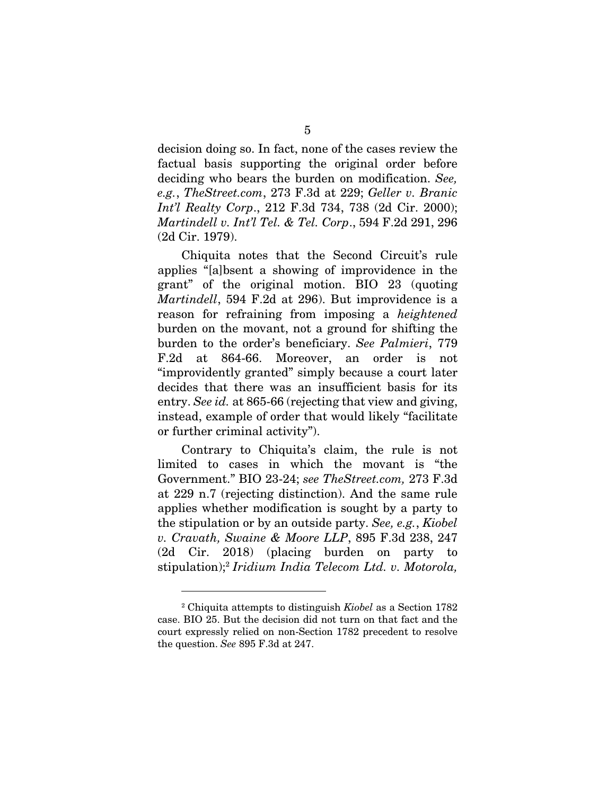decision doing so. In fact, none of the cases review the factual basis supporting the original order before deciding who bears the burden on modification. *See, e.g.*, *TheStreet.com*, 273 F.3d at 229; *Geller v. Branic Int'l Realty Corp*., 212 F.3d 734, 738 (2d Cir. 2000); *Martindell v. Int'l Tel. & Tel. Corp*., 594 F.2d 291, 296 (2d Cir. 1979).

Chiquita notes that the Second Circuit's rule applies "[a]bsent a showing of improvidence in the grant" of the original motion. BIO 23 (quoting *Martindell*, 594 F.2d at 296). But improvidence is a reason for refraining from imposing a *heightened* burden on the movant, not a ground for shifting the burden to the order's beneficiary. *See Palmieri*, 779 F.2d at 864-66. Moreover, an order is not "improvidently granted" simply because a court later decides that there was an insufficient basis for its entry. *See id.* at 865-66 (rejecting that view and giving, instead, example of order that would likely "facilitate or further criminal activity").

Contrary to Chiquita's claim, the rule is not limited to cases in which the movant is "the Government." BIO 23-24; *see TheStreet.com,* 273 F.3d at 229 n.7 (rejecting distinction). And the same rule applies whether modification is sought by a party to the stipulation or by an outside party. *See, e.g.*, *Kiobel v. Cravath, Swaine & Moore LLP*, 895 F.3d 238, 247 (2d Cir. 2018) (placing burden on party to stipulation);2 *Iridium India Telecom Ltd. v. Motorola,* 

<sup>2</sup> Chiquita attempts to distinguish *Kiobel* as a Section 1782 case. BIO 25. But the decision did not turn on that fact and the court expressly relied on non-Section 1782 precedent to resolve the question. *See* 895 F.3d at 247.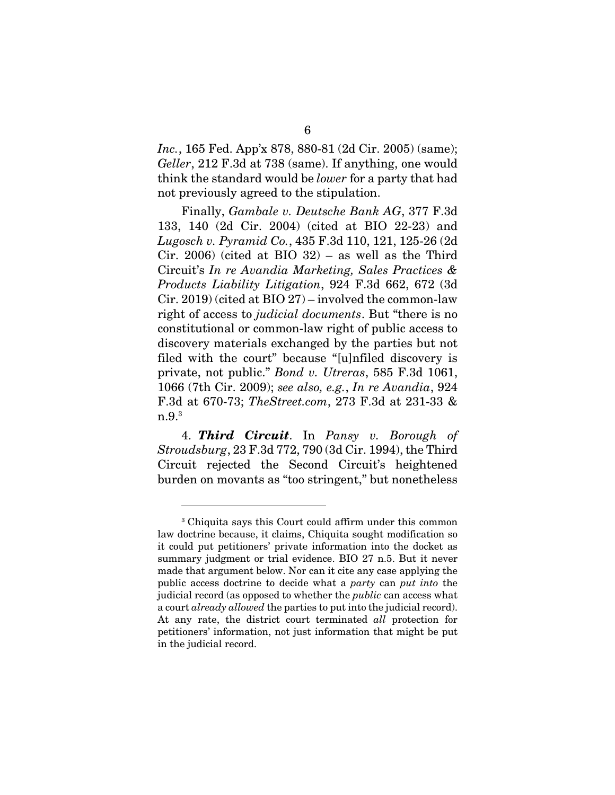*Inc.*, 165 Fed. App'x 878, 880-81 (2d Cir. 2005) (same); *Geller*, 212 F.3d at 738 (same). If anything, one would think the standard would be *lower* for a party that had not previously agreed to the stipulation.

Finally, *Gambale v. Deutsche Bank AG*, 377 F.3d 133, 140 (2d Cir. 2004) (cited at BIO 22-23) and *Lugosch v. Pyramid Co.*, 435 F.3d 110, 121, 125-26 (2d Cir. 2006) (cited at BIO  $32$ ) – as well as the Third Circuit's *In re Avandia Marketing, Sales Practices & Products Liability Litigation*, 924 F.3d 662, 672 (3d Cir. 2019) (cited at BIO 27) – involved the common-law right of access to *judicial documents*. But "there is no constitutional or common-law right of public access to discovery materials exchanged by the parties but not filed with the court" because "[u]nfiled discovery is private, not public." *Bond v. Utreras*, 585 F.3d 1061, 1066 (7th Cir. 2009); *see also, e.g.*, *In re Avandia*, 924 F.3d at 670-73; *TheStreet.com*, 273 F.3d at 231-33 &  $n.9.^3$ 

4. *Third Circuit*. In *Pansy v. Borough of Stroudsburg*, 23 F.3d 772, 790 (3d Cir. 1994), the Third Circuit rejected the Second Circuit's heightened burden on movants as "too stringent," but nonetheless

<sup>3</sup> Chiquita says this Court could affirm under this common law doctrine because, it claims, Chiquita sought modification so it could put petitioners' private information into the docket as summary judgment or trial evidence. BIO 27 n.5. But it never made that argument below. Nor can it cite any case applying the public access doctrine to decide what a *party* can *put into* the judicial record (as opposed to whether the *public* can access what a court *already allowed* the parties to put into the judicial record). At any rate, the district court terminated *all* protection for petitioners' information, not just information that might be put in the judicial record.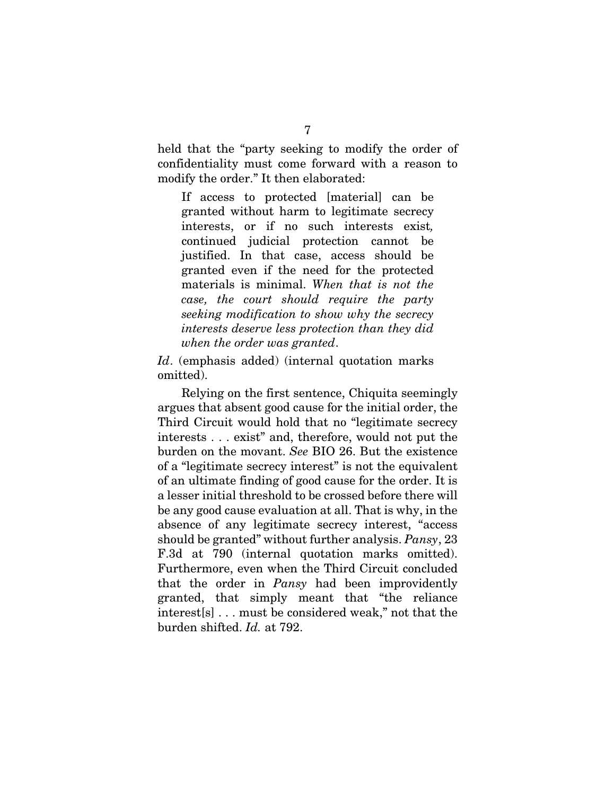held that the "party seeking to modify the order of confidentiality must come forward with a reason to modify the order." It then elaborated:

If access to protected [material] can be granted without harm to legitimate secrecy interests, or if no such interests exist*,* continued judicial protection cannot be justified. In that case, access should be granted even if the need for the protected materials is minimal. *When that is not the case, the court should require the party seeking modification to show why the secrecy interests deserve less protection than they did when the order was granted*.

*Id*. (emphasis added) (internal quotation marks omitted).

Relying on the first sentence, Chiquita seemingly argues that absent good cause for the initial order, the Third Circuit would hold that no "legitimate secrecy interests . . . exist" and, therefore, would not put the burden on the movant. *See* BIO 26. But the existence of a "legitimate secrecy interest" is not the equivalent of an ultimate finding of good cause for the order. It is a lesser initial threshold to be crossed before there will be any good cause evaluation at all. That is why, in the absence of any legitimate secrecy interest, "access should be granted" without further analysis. *Pansy*, 23 F.3d at 790 (internal quotation marks omitted). Furthermore, even when the Third Circuit concluded that the order in *Pansy* had been improvidently granted, that simply meant that "the reliance interest[s] . . . must be considered weak," not that the burden shifted. *Id.* at 792.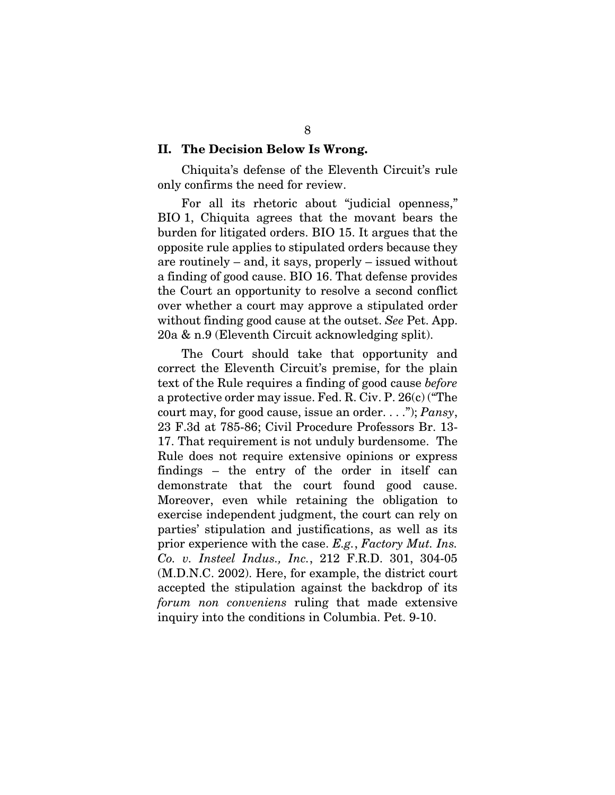#### II. The Decision Below Is Wrong.

Chiquita's defense of the Eleventh Circuit's rule only confirms the need for review.

For all its rhetoric about "judicial openness," BIO 1, Chiquita agrees that the movant bears the burden for litigated orders. BIO 15. It argues that the opposite rule applies to stipulated orders because they are routinely – and, it says, properly – issued without a finding of good cause. BIO 16. That defense provides the Court an opportunity to resolve a second conflict over whether a court may approve a stipulated order without finding good cause at the outset. *See* Pet. App. 20a & n.9 (Eleventh Circuit acknowledging split).

The Court should take that opportunity and correct the Eleventh Circuit's premise, for the plain text of the Rule requires a finding of good cause *before* a protective order may issue. Fed. R. Civ. P. 26(c) ("The court may, for good cause, issue an order. . . ."); *Pansy*, 23 F.3d at 785-86; Civil Procedure Professors Br. 13- 17. That requirement is not unduly burdensome. The Rule does not require extensive opinions or express findings – the entry of the order in itself can demonstrate that the court found good cause. Moreover, even while retaining the obligation to exercise independent judgment, the court can rely on parties' stipulation and justifications, as well as its prior experience with the case. *E.g.*, *Factory Mut. Ins. Co. v. Insteel Indus., Inc.*, 212 F.R.D. 301, 304-05 (M.D.N.C. 2002). Here, for example, the district court accepted the stipulation against the backdrop of its *forum non conveniens* ruling that made extensive inquiry into the conditions in Columbia. Pet. 9-10.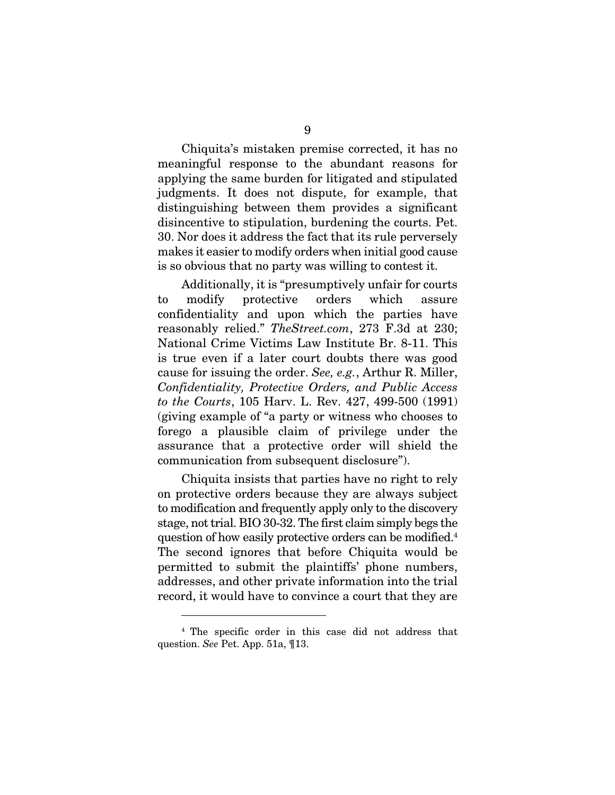Chiquita's mistaken premise corrected, it has no meaningful response to the abundant reasons for applying the same burden for litigated and stipulated judgments. It does not dispute, for example, that distinguishing between them provides a significant disincentive to stipulation, burdening the courts. Pet. 30. Nor does it address the fact that its rule perversely makes it easier to modify orders when initial good cause is so obvious that no party was willing to contest it.

Additionally, it is "presumptively unfair for courts to modify protective orders which assure confidentiality and upon which the parties have reasonably relied." *TheStreet.com*, 273 F.3d at 230; National Crime Victims Law Institute Br. 8-11. This is true even if a later court doubts there was good cause for issuing the order. *See, e.g.*, Arthur R. Miller, *Confidentiality, Protective Orders, and Public Access to the Courts*, 105 Harv. L. Rev. 427, 499-500 (1991) (giving example of "a party or witness who chooses to forego a plausible claim of privilege under the assurance that a protective order will shield the communication from subsequent disclosure").

Chiquita insists that parties have no right to rely on protective orders because they are always subject to modification and frequently apply only to the discovery stage, not trial. BIO 30-32. The first claim simply begs the question of how easily protective orders can be modified.4 The second ignores that before Chiquita would be permitted to submit the plaintiffs' phone numbers, addresses, and other private information into the trial record, it would have to convince a court that they are

<sup>4</sup> The specific order in this case did not address that question. *See* Pet. App. 51a, ¶13.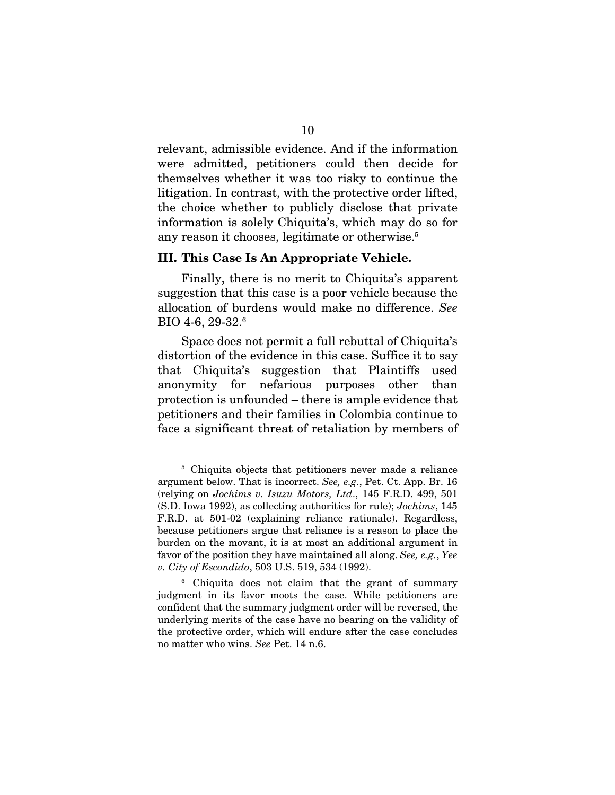relevant, admissible evidence. And if the information were admitted, petitioners could then decide for themselves whether it was too risky to continue the litigation. In contrast, with the protective order lifted, the choice whether to publicly disclose that private information is solely Chiquita's, which may do so for any reason it chooses, legitimate or otherwise.<sup>5</sup>

#### III. This Case Is An Appropriate Vehicle.

Finally, there is no merit to Chiquita's apparent suggestion that this case is a poor vehicle because the allocation of burdens would make no difference. *See*  BIO 4-6, 29-32.6

Space does not permit a full rebuttal of Chiquita's distortion of the evidence in this case. Suffice it to say that Chiquita's suggestion that Plaintiffs used anonymity for nefarious purposes other than protection is unfounded – there is ample evidence that petitioners and their families in Colombia continue to face a significant threat of retaliation by members of

<sup>5</sup> Chiquita objects that petitioners never made a reliance argument below. That is incorrect. *See, e.g*., Pet. Ct. App. Br. 16 (relying on *Jochims v. Isuzu Motors, Ltd*., 145 F.R.D. 499, 501 (S.D. Iowa 1992), as collecting authorities for rule); *Jochims*, 145 F.R.D. at 501-02 (explaining reliance rationale). Regardless, because petitioners argue that reliance is a reason to place the burden on the movant, it is at most an additional argument in favor of the position they have maintained all along. *See, e.g.*, *Yee v. City of Escondido*, 503 U.S. 519, 534 (1992).

<sup>6</sup> Chiquita does not claim that the grant of summary judgment in its favor moots the case. While petitioners are confident that the summary judgment order will be reversed, the underlying merits of the case have no bearing on the validity of the protective order, which will endure after the case concludes no matter who wins. *See* Pet. 14 n.6.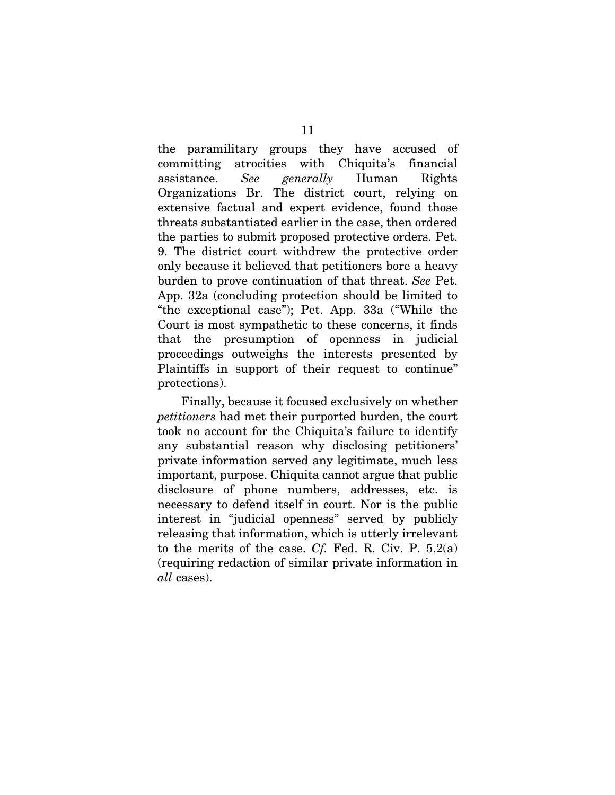the paramilitary groups they have accused of committing atrocities with Chiquita's financial assistance. *See generally* Human Rights Organizations Br. The district court, relying on extensive factual and expert evidence, found those threats substantiated earlier in the case, then ordered the parties to submit proposed protective orders. Pet. 9. The district court withdrew the protective order only because it believed that petitioners bore a heavy burden to prove continuation of that threat. *See* Pet. App. 32a (concluding protection should be limited to "the exceptional case"); Pet. App. 33a ("While the Court is most sympathetic to these concerns, it finds that the presumption of openness in judicial proceedings outweighs the interests presented by Plaintiffs in support of their request to continue" protections).

Finally, because it focused exclusively on whether *petitioners* had met their purported burden, the court took no account for the Chiquita's failure to identify any substantial reason why disclosing petitioners' private information served any legitimate, much less important, purpose. Chiquita cannot argue that public disclosure of phone numbers, addresses, etc. is necessary to defend itself in court. Nor is the public interest in "judicial openness" served by publicly releasing that information, which is utterly irrelevant to the merits of the case. *Cf.* Fed. R. Civ. P. 5.2(a) (requiring redaction of similar private information in *all* cases).